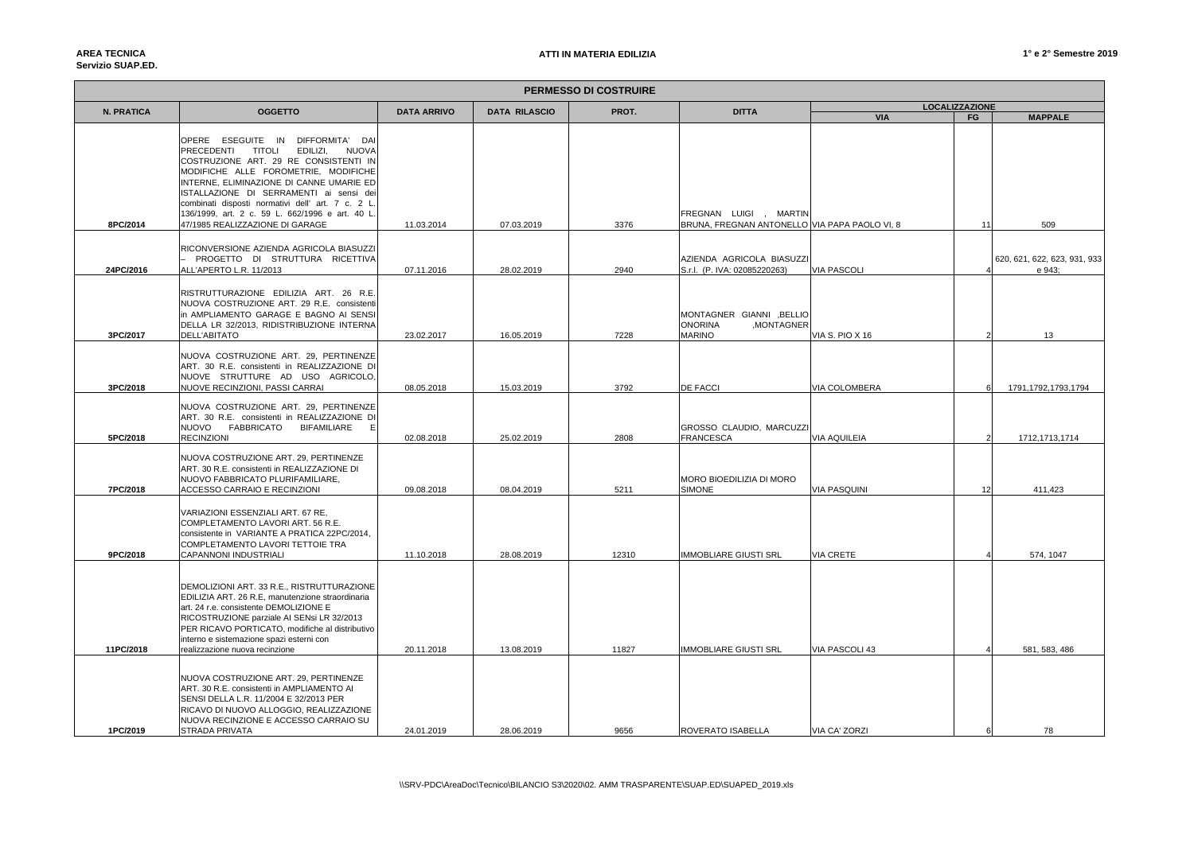## **AREA TECNICAServizio SUAP.ED.**

| <b>PERMESSO DI COSTRUIRE</b> |                                                                                                                                                                                                                                                                                                                                                                             |                                                     |            |       |                                                                            |                       |    |                                        |  |
|------------------------------|-----------------------------------------------------------------------------------------------------------------------------------------------------------------------------------------------------------------------------------------------------------------------------------------------------------------------------------------------------------------------------|-----------------------------------------------------|------------|-------|----------------------------------------------------------------------------|-----------------------|----|----------------------------------------|--|
| <b>N. PRATICA</b>            | <b>OGGETTO</b>                                                                                                                                                                                                                                                                                                                                                              | <b>DATA ARRIVO</b><br><b>DATA RILASCIO</b><br>PROT. |            |       | <b>DITTA</b>                                                               | <b>LOCALIZZAZIONE</b> |    |                                        |  |
|                              |                                                                                                                                                                                                                                                                                                                                                                             |                                                     |            |       |                                                                            | <b>VIA</b>            | FG | <b>MAPPALE</b>                         |  |
|                              | OPERE ESEGUITE IN DIFFORMITA'<br>DA<br>PRECEDENTI<br><b>TITOLI</b><br>EDILIZI,<br><b>NUOVA</b><br>COSTRUZIONE ART. 29 RE CONSISTENTI IN<br>MODIFICHE ALLE FOROMETRIE, MODIFICHE<br>INTERNE, ELIMINAZIONE DI CANNE UMARIE ED<br>ISTALLAZIONE DI SERRAMENTI ai sensi de<br>combinati disposti normativi dell' art. 7 c. 2 L<br>136/1999, art. 2 c. 59 L. 662/1996 e art. 40 L |                                                     |            |       | FREGNAN LUIGI , MARTIN                                                     |                       |    |                                        |  |
| 8PC/2014                     | 47/1985 REALIZZAZIONE DI GARAGE                                                                                                                                                                                                                                                                                                                                             | 11.03.2014                                          | 07.03.2019 | 3376  | BRUNA, FREGNAN ANTONELLO VIA PAPA PAOLO VI, 8                              |                       | 11 | 509                                    |  |
| 24PC/2016                    | RICONVERSIONE AZIENDA AGRICOLA BIASUZZI<br>PROGETTO DI STRUTTURA RICETTIVA<br>ALL'APERTO L.R. 11/2013                                                                                                                                                                                                                                                                       | 07.11.2016                                          | 28.02.2019 | 2940  | AZIENDA AGRICOLA BIASUZZI<br>S.r.l. (P. IVA: 02085220263)                  | <b>VIA PASCOLI</b>    |    | 620, 621, 622, 623, 931, 933<br>e 943; |  |
| 3PC/2017                     | RISTRUTTURAZIONE EDILIZIA ART. 26 R.E.<br>NUOVA COSTRUZIONE ART, 29 R.E. consistenti<br>in AMPLIAMENTO GARAGE E BAGNO AI SENS<br>DELLA LR 32/2013, RIDISTRIBUZIONE INTERNA<br>DELL'ABITATO                                                                                                                                                                                  | 23.02.2017                                          | 16.05.2019 | 7228  | MONTAGNER GIANNI , BELLIO<br><b>ONORINA</b><br>,MONTAGNER<br><b>MARINO</b> | VIA S. PIO X 16       |    | 13                                     |  |
| 3PC/2018                     | NUOVA COSTRUZIONE ART. 29, PERTINENZE<br>ART. 30 R.E. consistenti in REALIZZAZIONE D<br>NUOVE STRUTTURE AD USO AGRICOLO<br>NUOVE RECINZIONI, PASSI CARRAI                                                                                                                                                                                                                   | 08.05.2018                                          | 15.03.2019 | 3792  | <b>DE FACCI</b>                                                            | VIA COLOMBERA         |    | 1791, 1792, 1793, 1794                 |  |
| 5PC/2018                     | NUOVA COSTRUZIONE ART. 29, PERTINENZE<br>ART. 30 R.E. consistenti in REALIZZAZIONE DI<br>NUOVO FABBRICATO<br>BIFAMILIARE<br><b>RECINZIONI</b>                                                                                                                                                                                                                               | 02.08.2018                                          | 25.02.2019 | 2808  | GROSSO CLAUDIO, MARCUZZ<br><b>FRANCESCA</b>                                | VIA AQUILEIA          |    | 1712, 1713, 1714                       |  |
| 7PC/2018                     | NUOVA COSTRUZIONE ART. 29, PERTINENZE<br>ART. 30 R.E. consistenti in REALIZZAZIONE DI<br>NUOVO FABBRICATO PLURIFAMILIARE,<br>ACCESSO CARRAIO E RECINZIONI                                                                                                                                                                                                                   | 09.08.2018                                          | 08.04.2019 | 5211  | MORO BIOEDILIZIA DI MORO<br><b>SIMONE</b>                                  | <b>VIA PASQUINI</b>   | 12 | 411,423                                |  |
| 9PC/2018                     | VARIAZIONI ESSENZIALI ART. 67 RE,<br>COMPLETAMENTO LAVORI ART. 56 R.E.<br>consistente in VARIANTE A PRATICA 22PC/2014,<br>COMPLETAMENTO LAVORI TETTOIE TRA<br>CAPANNONI INDUSTRIALI                                                                                                                                                                                         | 11.10.2018                                          | 28.08.2019 | 12310 | <b>IMMOBLIARE GIUSTI SRL</b>                                               | VIA CRETE             |    | 574, 1047                              |  |
| 11PC/2018                    | DEMOLIZIONI ART. 33 R.E., RISTRUTTURAZIONE<br>EDILIZIA ART. 26 R.E, manutenzione straordinaria<br>art. 24 r.e. consistente DEMOLIZIONE E<br>RICOSTRUZIONE parziale AI SENsi LR 32/2013<br>PER RICAVO PORTICATO, modifiche al distributivo<br>interno e sistemazione spazi esterni con<br>realizzazione nuova recinzione                                                     | 20.11.2018                                          | 13.08.2019 | 11827 | <b>IMMOBLIARE GIUSTI SRL</b>                                               | VIA PASCOLI 43        |    | 581, 583, 486                          |  |
| 1PC/2019                     | NUOVA COSTRUZIONE ART. 29, PERTINENZE<br>ART. 30 R.E. consistenti in AMPLIAMENTO AI<br>SENSI DELLA L.R. 11/2004 E 32/2013 PER<br>RICAVO DI NUOVO ALLOGGIO, REALIZZAZIONE<br>NUOVA RECINZIONE E ACCESSO CARRAIO SU<br>STRADA PRIVATA                                                                                                                                         | 24.01.2019                                          | 28.06.2019 | 9656  | ROVERATO ISABELLA                                                          | VIA CA' ZORZI         | 6  | 78                                     |  |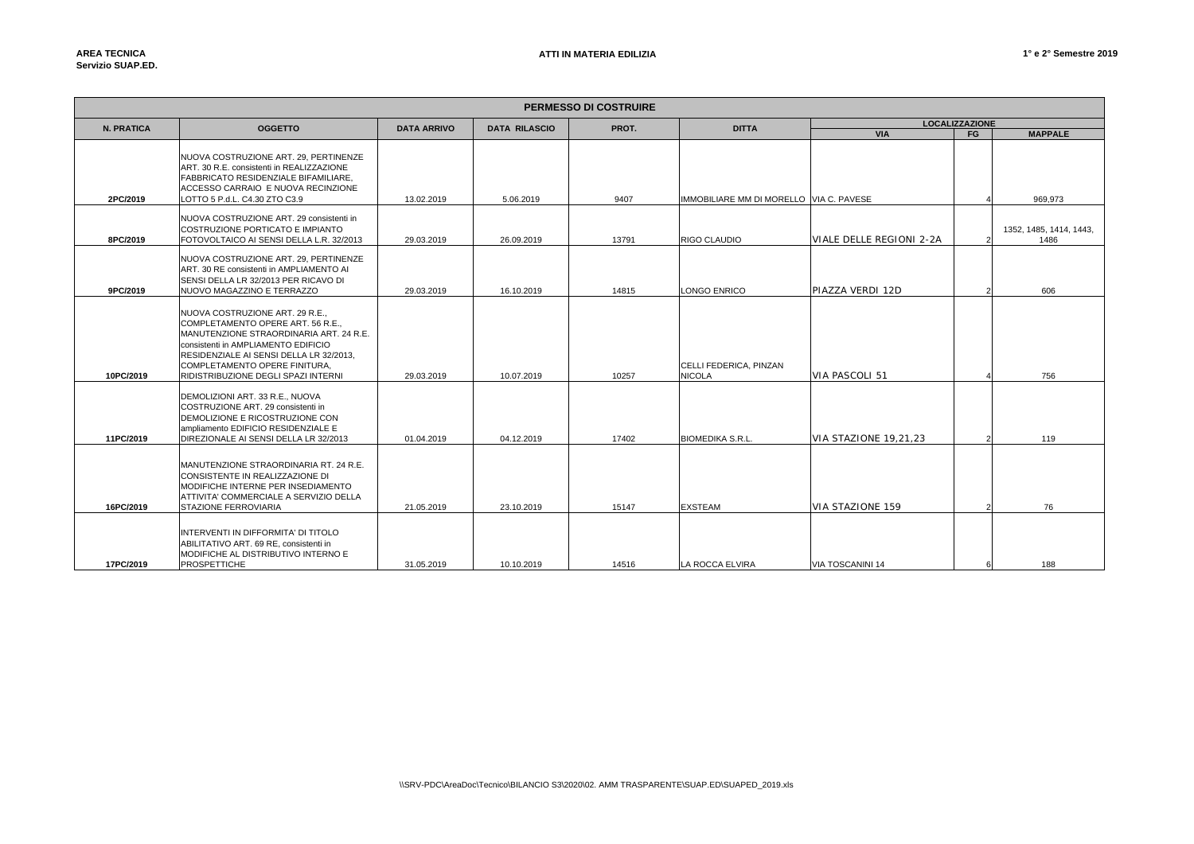| <b>PERMESSO DI COSTRUIRE</b> |                                                                                                                                                                                                                                                                                   |                    |                      |       |                                         |                                                       |                |                                 |  |
|------------------------------|-----------------------------------------------------------------------------------------------------------------------------------------------------------------------------------------------------------------------------------------------------------------------------------|--------------------|----------------------|-------|-----------------------------------------|-------------------------------------------------------|----------------|---------------------------------|--|
| N. PRATICA                   | <b>OGGETTO</b>                                                                                                                                                                                                                                                                    | <b>DATA ARRIVO</b> | <b>DATA RILASCIO</b> | PROT. | <b>DITTA</b>                            | <b>LOCALIZZAZIONE</b><br><b>VIA</b><br><b>MAPPALE</b> |                |                                 |  |
| 2PC/2019                     | INUOVA COSTRUZIONE ART. 29. PERTINENZE<br>ART. 30 R.E. consistenti in REALIZZAZIONE<br><b>FABBRICATO RESIDENZIALE BIFAMILIARE.</b><br>ACCESSO CARRAIO E NUOVA RECINZIONE<br>LOTTO 5 P.d.L. C4.30 ZTO C3.9                                                                         | 13.02.2019         | 5.06.2019            | 9407  | IMMOBILIARE MM DI MORELLO VIA C. PAVESE |                                                       | <b>FG</b>      | 969.973                         |  |
| 8PC/2019                     | NUOVA COSTRUZIONE ART. 29 consistenti in<br>COSTRUZIONE PORTICATO E IMPIANTO<br>FOTOVOLTAICO AI SENSI DELLA L.R. 32/2013                                                                                                                                                          | 29.03.2019         | 26.09.2019           | 13791 | RIGO CLAUDIO                            | VIALE DELLE REGIONI 2-2A                              | $\mathcal{P}$  | 1352, 1485, 1414, 1443,<br>1486 |  |
| 9PC/2019                     | NUOVA COSTRUZIONE ART. 29, PERTINENZE<br>ART. 30 RE consistenti in AMPLIAMENTO AI<br>SENSI DELLA LR 32/2013 PER RICAVO DI<br>NUOVO MAGAZZINO E TERRAZZO                                                                                                                           | 29.03.2019         | 16.10.2019           | 14815 | <b>LONGO ENRICO</b>                     | PIAZZA VERDI 12D                                      | $\mathcal{P}$  | 606                             |  |
| 10PC/2019                    | NUOVA COSTRUZIONE ART. 29 R.E.,<br>COMPLETAMENTO OPERE ART, 56 R.E.,<br><b>IMANUTENZIONE STRAORDINARIA ART. 24 R.E.</b><br>consistenti in AMPLIAMENTO EDIFICIO<br>RESIDENZIALE AI SENSI DELLA LR 32/2013.<br>COMPLETAMENTO OPERE FINITURA,<br>RIDISTRIBUZIONE DEGLI SPAZI INTERNI | 29.03.2019         | 10.07.2019           | 10257 | CELLI FEDERICA, PINZAN<br><b>NICOLA</b> | VIA PASCOLI 51                                        |                | 756                             |  |
| 11PC/2019                    | DEMOLIZIONI ART. 33 R.E., NUOVA<br>COSTRUZIONE ART, 29 consistenti in<br>DEMOLIZIONE E RICOSTRUZIONE CON<br>ampliamento EDIFICIO RESIDENZIALE E<br>DIREZIONALE AI SENSI DELLA LR 32/2013<br>MANUTENZIONE STRAORDINARIA RT. 24 R.E.                                                | 01.04.2019         | 04.12.2019           | 17402 | <b>BIOMEDIKA S.R.L.</b>                 | VIA STAZIONE 19.21.23                                 | $\overline{2}$ | 119                             |  |
| 16PC/2019                    | CONSISTENTE IN REALIZZAZIONE DI<br>MODIFICHE INTERNE PER INSEDIAMENTO<br>ATTIVITA' COMMERCIALE A SERVIZIO DELLA<br>STAZIONE FERROVIARIA<br>INTERVENTI IN DIFFORMITA' DI TITOLO<br>ABILITATIVO ART, 69 RE, consistenti in<br><b>IMODIFICHE AL DISTRIBUTIVO INTERNO E</b>           | 21.05.2019         | 23.10.2019           | 15147 | <b>EXSTEAM</b>                          | <b>VIA STAZIONE 159</b>                               |                | 76                              |  |
| 17PC/2019                    | <b>PROSPETTICHE</b>                                                                                                                                                                                                                                                               | 31.05.2019         | 10.10.2019           | 14516 | <b>LA ROCCA ELVIRA</b>                  | VIA TOSCANINI 14                                      |                | 188                             |  |